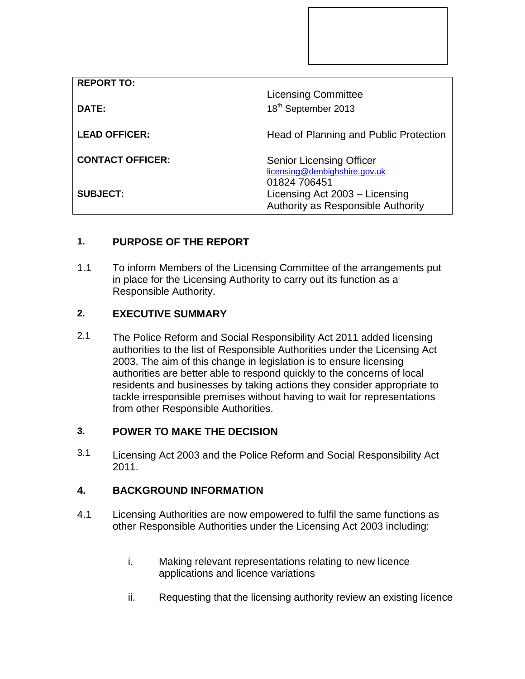| <b>REPORT TO:</b>       |                                                                                      |
|-------------------------|--------------------------------------------------------------------------------------|
|                         | <b>Licensing Committee</b>                                                           |
| DATE:                   | 18 <sup>th</sup> September 2013                                                      |
| <b>LEAD OFFICER:</b>    | Head of Planning and Public Protection                                               |
| <b>CONTACT OFFICER:</b> | <b>Senior Licensing Officer</b><br>licensing@denbighshire.gov.uk                     |
| <b>SUBJECT:</b>         | 01824 706451<br>Licensing Act 2003 - Licensing<br>Authority as Responsible Authority |

# **1. PURPOSE OF THE REPORT**

1.1 To inform Members of the Licensing Committee of the arrangements put in place for the Licensing Authority to carry out its function as a Responsible Authority.

## **2. EXECUTIVE SUMMARY**

2.1 The Police Reform and Social Responsibility Act 2011 added licensing authorities to the list of Responsible Authorities under the Licensing Act 2003. The aim of this change in legislation is to ensure licensing authorities are better able to respond quickly to the concerns of local residents and businesses by taking actions they consider appropriate to tackle irresponsible premises without having to wait for representations from other Responsible Authorities.

## **3. POWER TO MAKE THE DECISION**

3.1 Licensing Act 2003 and the Police Reform and Social Responsibility Act 2011.

### **4. BACKGROUND INFORMATION**

- 4.1 Licensing Authorities are now empowered to fulfil the same functions as other Responsible Authorities under the Licensing Act 2003 including:
	- i. Making relevant representations relating to new licence applications and licence variations
	- ii. Requesting that the licensing authority review an existing licence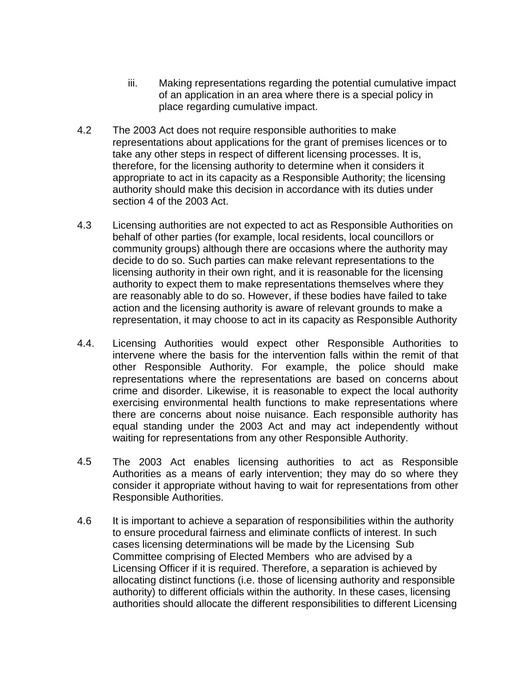- iii. Making representations regarding the potential cumulative impact of an application in an area where there is a special policy in place regarding cumulative impact.
- 4.2 The 2003 Act does not require responsible authorities to make representations about applications for the grant of premises licences or to take any other steps in respect of different licensing processes. It is, therefore, for the licensing authority to determine when it considers it appropriate to act in its capacity as a Responsible Authority; the licensing authority should make this decision in accordance with its duties under section 4 of the 2003 Act.
- 4.3 Licensing authorities are not expected to act as Responsible Authorities on behalf of other parties (for example, local residents, local councillors or community groups) although there are occasions where the authority may decide to do so. Such parties can make relevant representations to the licensing authority in their own right, and it is reasonable for the licensing authority to expect them to make representations themselves where they are reasonably able to do so. However, if these bodies have failed to take action and the licensing authority is aware of relevant grounds to make a representation, it may choose to act in its capacity as Responsible Authority
- 4.4. Licensing Authorities would expect other Responsible Authorities to intervene where the basis for the intervention falls within the remit of that other Responsible Authority. For example, the police should make representations where the representations are based on concerns about crime and disorder. Likewise, it is reasonable to expect the local authority exercising environmental health functions to make representations where there are concerns about noise nuisance. Each responsible authority has equal standing under the 2003 Act and may act independently without waiting for representations from any other Responsible Authority.
- 4.5 The 2003 Act enables licensing authorities to act as Responsible Authorities as a means of early intervention; they may do so where they consider it appropriate without having to wait for representations from other Responsible Authorities.
- 4.6 It is important to achieve a separation of responsibilities within the authority to ensure procedural fairness and eliminate conflicts of interest. In such cases licensing determinations will be made by the Licensing Sub Committee comprising of Elected Members who are advised by a Licensing Officer if it is required. Therefore, a separation is achieved by allocating distinct functions (i.e. those of licensing authority and responsible authority) to different officials within the authority. In these cases, licensing authorities should allocate the different responsibilities to different Licensing